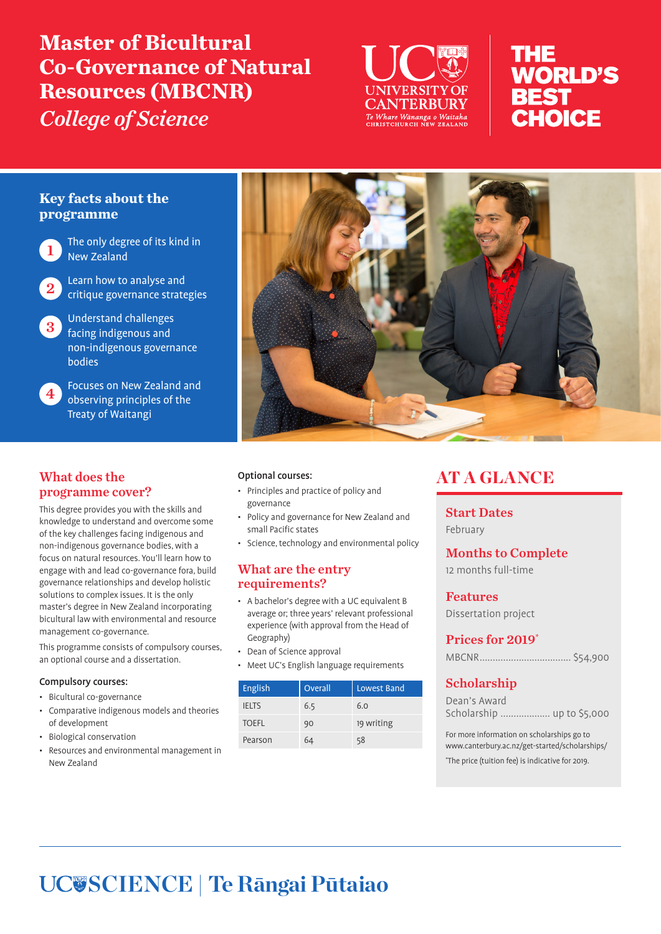# **Master of Bicultural Co-Governance of Natural Resources (MBCNR)** *College of Science*



# THE **WORLD'S BEST CHOICE**

## **Key facts about the programme**

The only degree of its kind in New Zealand

Learn how to analyse and critique governance strategies

Understand challenges facing indigenous and non-indigenous governance bodies

4 Focuses on New Zealand and observing principles of the Treaty of Waitangi

## What does the programme cover?

This degree provides you with the skills and knowledge to understand and overcome some of the key challenges facing indigenous and non-indigenous governance bodies, with a focus on natural resources. You'll learn how to engage with and lead co-governance fora, build governance relationships and develop holistic solutions to complex issues. It is the only master's degree in New Zealand incorporating bicultural law with environmental and resource management co-governance.

This programme consists of compulsory courses, an optional course and a dissertation.

#### Compulsory courses:

- Bicultural co-governance
- Comparative indigenous models and theories of development
- Biological conservation
- Resources and environmental management in New Zealand



#### Optional courses:

- Principles and practice of policy and governance
- Policy and governance for New Zealand and small Pacific states
- Science, technology and environmental policy

#### What are the entry requirements?

- A bachelor's degree with a UC equivalent B average or; three years' relevant professional experience (with approval from the Head of Geography)
- Dean of Science approval
- Meet UC's English language requirements

| <b>English</b> | Overall | Lowest Band |
|----------------|---------|-------------|
| <b>IELTS</b>   | 6.5     | 6.0         |
| <b>TOEFL</b>   | 90      | 19 writing  |
| Pearson        | 64      | 58          |

# AT A GLANCE

Start Dates February

Months to Complete

12 months full-time

Features Dissertation project

### Prices for 2019\*

MBCNR................................... \$54,900

## Scholarship

Dean's Award Scholarship ................... up to \$5,000

For more information on scholarships go to www.canterbury.ac.nz/get-started/scholarships/

\* The price (tuition fee) is indicative for 2019.

# **SCIENCE | Te Rāngai Pūtaiao**